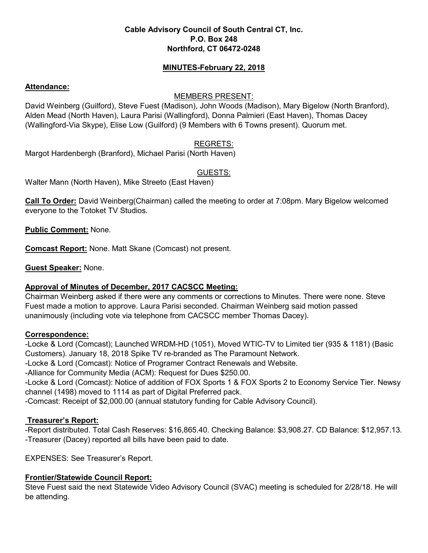### **Cable Advisory Council of South Central CT, Inc. P.O. Box 248 Northford, CT 06472-0248**

### **MINUTES-February 22, 2018**

### **Attendance:**

### MEMBERS PRESENT:

David Weinberg (Guilford), Steve Fuest (Madison), John Woods (Madison), Mary Bigelow (North Branford), Alden Mead (North Haven), Laura Parisi (Wallingford), Donna Palmieri (East Haven), Thomas Dacey (Wallingford-Via Skype), Elise Low (Guilford) (9 Members with 6 Towns present). Quorum met.

# REGRETS:

Margot Hardenbergh (Branford), Michael Parisi (North Haven)

# GUESTS:

Walter Mann (North Haven), Mike Streeto (East Haven)

**Call To Order:** David Weinberg(Chairman) called the meeting to order at 7:08pm. Mary Bigelow welcomed everyone to the Totoket TV Studios.

**Public Comment:** None.

**Comcast Report:** None. Matt Skane (Comcast) not present.

**Guest Speaker:** None.

# **Approval of Minutes of December, 2017 CACSCC Meeting:**

Chairman Weinberg asked if there were any comments or corrections to Minutes. There were none. Steve Fuest made a motion to approve. Laura Parisi seconded. Chairman Weinberg said motion passed unanimously (including vote via telephone from CACSCC member Thomas Dacey).

### **Correspondence:**

-Locke & Lord (Comcast); Launched WRDM-HD (1051), Moved WTIC-TV to Limited tier (935 & 1181) (Basic Customers). January 18, 2018 Spike TV re-branded as The Paramount Network.

-Locke & Lord (Comcast): Notice of Programer Contract Renewals and Website.

-Alliance for Community Media (ACM): Request for Dues \$250.00.

-Locke & Lord (Comcast): Notice of addition of FOX Sports 1 & FOX Sports 2 to Economy Service Tier. Newsy channel (1498) moved to 1114 as part of Digital Preferred pack.

-Comcast: Receipt of \$2,000.00 (annual statutory funding for Cable Advisory Council).

# **Treasurer's Report:**

-Report distributed. Total Cash Reserves: \$16,865.40. Checking Balance: \$3,908.27. CD Balance: \$12,957.13. -Treasurer (Dacey) reported all bills have been paid to date.

EXPENSES: See Treasurer's Report.

# **Frontier/Statewide Council Report:**

Steve Fuest said the next Statewide Video Advisory Council (SVAC) meeting is scheduled for 2/28/18. He will be attending.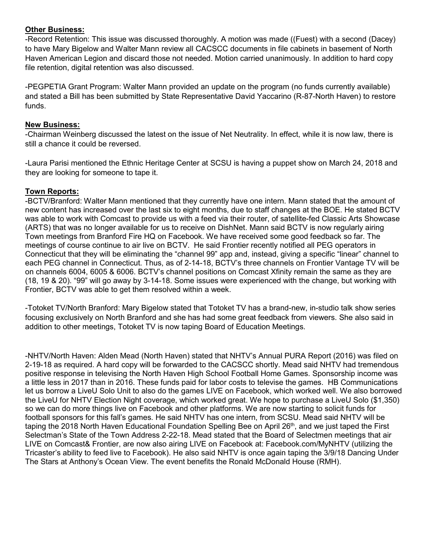### **Other Business:**

-Record Retention: This issue was discussed thoroughly. A motion was made ((Fuest) with a second (Dacey) to have Mary Bigelow and Walter Mann review all CACSCC documents in file cabinets in basement of North Haven American Legion and discard those not needed. Motion carried unanimously. In addition to hard copy file retention, digital retention was also discussed.

-PEGPETIA Grant Program: Walter Mann provided an update on the program (no funds currently available) and stated a Bill has been submitted by State Representative David Yaccarino (R-87-North Haven) to restore funds.

### **New Business:**

-Chairman Weinberg discussed the latest on the issue of Net Neutrality. In effect, while it is now law, there is still a chance it could be reversed.

-Laura Parisi mentioned the Ethnic Heritage Center at SCSU is having a puppet show on March 24, 2018 and they are looking for someone to tape it.

# **Town Reports:**

-BCTV/Branford: Walter Mann mentioned that they currently have one intern. Mann stated that the amount of new content has increased over the last six to eight months, due to staff changes at the BOE. He stated BCTV was able to work with Comcast to provide us with a feed via their router, of satellite-fed Classic Arts Showcase (ARTS) that was no longer available for us to receive on DishNet. Mann said BCTV is now regularly airing Town meetings from Branford Fire HQ on Facebook. We have received some good feedback so far. The meetings of course continue to air live on BCTV. He said Frontier recently notified all PEG operators in Connecticut that they will be eliminating the "channel 99" app and, instead, giving a specific "linear" channel to each PEG channel in Connecticut. Thus, as of 2-14-18, BCTV's three channels on Frontier Vantage TV will be on channels 6004, 6005 & 6006. BCTV's channel positions on Comcast Xfinity remain the same as they are (18, 19 & 20). "99" will go away by 3-14-18. Some issues were experienced with the change, but working with Frontier, BCTV was able to get them resolved within a week.

-Totoket TV/North Branford: Mary Bigelow stated that Totoket TV has a brand-new, in-studio talk show series focusing exclusively on North Branford and she has had some great feedback from viewers. She also said in addition to other meetings, Totoket TV is now taping Board of Education Meetings.

-NHTV/North Haven: Alden Mead (North Haven) stated that NHTV's Annual PURA Report (2016) was filed on 2-19-18 as required. A hard copy will be forwarded to the CACSCC shortly. Mead said NHTV had tremendous positive response in televising the North Haven High School Football Home Games. Sponsorship income was a little less in 2017 than in 2016. These funds paid for labor costs to televise the games. HB Communications let us borrow a LiveU Solo Unit to also do the games LIVE on Facebook, which worked well. We also borrowed the LiveU for NHTV Election Night coverage, which worked great. We hope to purchase a LiveU Solo (\$1,350) so we can do more things live on Facebook and other platforms. We are now starting to solicit funds for football sponsors for this fall's games. He said NHTV has one intern, from SCSU. Mead said NHTV will be taping the 2018 North Haven Educational Foundation Spelling Bee on April 26<sup>th</sup>, and we just taped the First Selectman's State of the Town Address 2-22-18. Mead stated that the Board of Selectmen meetings that air LIVE on Comcast& Frontier, are now also airing LIVE on Facebook at: Facebook.com/MyNHTV (utilizing the Tricaster's ability to feed live to Facebook). He also said NHTV is once again taping the 3/9/18 Dancing Under The Stars at Anthony's Ocean View. The event benefits the Ronald McDonald House (RMH).